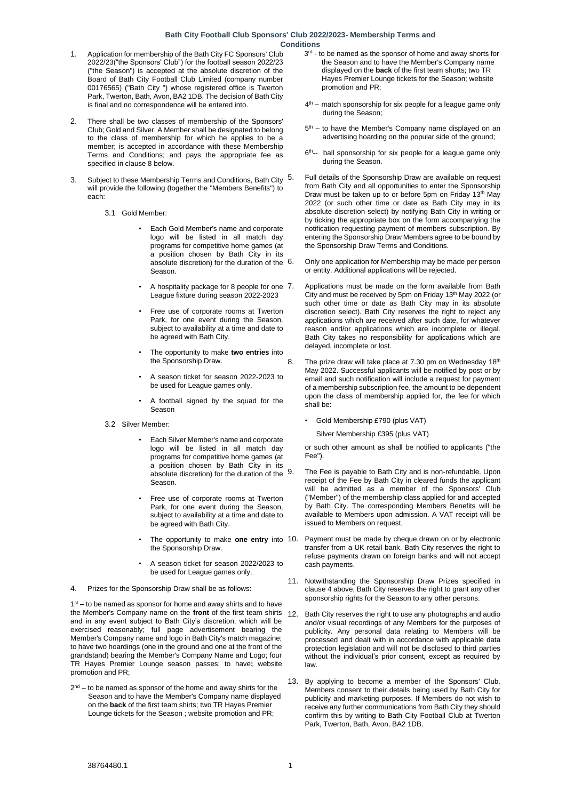## **Bath City Football Club Sponsors' Club 2022/2023- Membership Terms and Conditions**

- 1. Application for membership of the Bath City FC Sponsors' Club 2022/23("the Sponsors' Club") for the football season 2022/23 ("the Season") is accepted at the absolute discretion of the Board of Bath City Football Club Limited (company number 00176565) ("Bath City ") whose registered office is Twerton Park, Twerton, Bath, Avon, BA2 1DB. The decision of Bath City is final and no correspondence will be entered into.
- 2. There shall be two classes of membership of the Sponsors' Club; Gold and Silver. A Member shall be designated to belong to the class of membership for which he applies to be a member; is accepted in accordance with these Membership Terms and Conditions; and pays the appropriate fee as specified in clause 8 below.
- 3. Subject to these Membership Terms and Conditions, Bath City 5. will provide the following (together the "Members Benefits") to each:
	- 3.1 Gold Member:
		- Each Gold Member's name and corporate logo will be listed in all match day programs for competitive home games (at a position chosen by Bath City in its absolute discretion) for the duration of the 6. Season.
		- A hospitality package for 8 people for one 7. League fixture during season 2022-2023
		- Free use of corporate rooms at Twerton Park, for one event during the Season, subject to availability at a time and date to be agreed with Bath City.
		- The opportunity to make **two entries** into the Sponsorship Draw.
		- A season ticket for season 2022-2023 to be used for League games only.
		- A football signed by the squad for the Season
	- 3.2 Silver Member:
		- Each Silver Member's name and corporate logo will be listed in all match day programs for competitive home games (at a position chosen by Bath City in its absolute discretion) for the duration of the 9. Season.
		- Free use of corporate rooms at Twerton Park, for one event during the Season, subject to availability at a time and date to be agreed with Bath City.
		- The opportunity to make **one entry** into 10. the Sponsorship Draw.
		- A season ticket for season 2022/2023 to be used for League games only.
- 4. Prizes for the Sponsorship Draw shall be as follows:

1<sup>st</sup> – to be named as sponsor for home and away shirts and to have the Member's Company name on the **front** of the first team shirts and in any event subject to Bath City's discretion, which will be exercised reasonably; full page advertisement bearing the Member's Company name and logo in Bath City's match magazine; to have two hoardings (one in the ground and one at the front of the grandstand) bearing the Member's Company Name and Logo; four TR Hayes Premier Lounge season passes; to have**;** website promotion and PR;

 $2<sup>nd</sup>$  – to be named as sponsor of the home and away shirts for the Season and to have the Member's Company name displayed on the **back** of the first team shirts; two TR Hayes Premier Lounge tickets for the Season ; website promotion and PR;

- 3<sup>rd</sup> to be named as the sponsor of home and away shorts for the Season and to have the Member's Company name displayed on the **back** of the first team shorts; two TR Hayes Premier Lounge tickets for the Season; website promotion and PR;
- 4 th match sponsorship for six people for a league game only during the Season;
- 5<sup>th</sup> to have the Member's Company name displayed on an advertising hoarding on the popular side of the ground;
- 6<sup>th</sup>-- ball sponsorship for six people for a league game only during the Season.
- 5. Full details of the Sponsorship Draw are available on request from Bath City and all opportunities to enter the Sponsorship Draw must be taken up to or before 5pm on Friday 13th May 2022 (or such other time or date as Bath City may in its absolute discretion select) by notifying Bath City in writing or by ticking the appropriate box on the form accompanying the notification requesting payment of members subscription. By entering the Sponsorship Draw Members agree to be bound by the Sponsorship Draw Terms and Conditions.
- 6. Only one application for Membership may be made per person or entity. Additional applications will be rejected.
- Applications must be made on the form available from Bath City and must be received by 5pm on Friday 13th May 2022 (or such other time or date as Bath City may in its absolute discretion select). Bath City reserves the right to reject any applications which are received after such date, for whatever reason and/or applications which are incomplete or illegal. Bath City takes no responsibility for applications which are delayed, incomplete or lost.
- 8. The prize draw will take place at 7.30 pm on Wednesday 18th May 2022. Successful applicants will be notified by post or by email and such notification will include a request for payment of a membership subscription fee, the amount to be dependent upon the class of membership applied for, the fee for which shall be:
	- Gold Membership £790 (plus VAT)

Silver Membership £395 (plus VAT)

or such other amount as shall be notified to applicants ("the Fee").

- The Fee is payable to Bath City and is non-refundable. Upon receipt of the Fee by Bath City in cleared funds the applicant will be admitted as a member of the Sponsors' Club ("Member") of the membership class applied for and accepted by Bath City. The corresponding Members Benefits will be available to Members upon admission. A VAT receipt will be issued to Members on request.
- Payment must be made by cheque drawn on or by electronic transfer from a UK retail bank. Bath City reserves the right to refuse payments drawn on foreign banks and will not accept cash payments.
- 11. Notwithstanding the Sponsorship Draw Prizes specified in clause 4 above, Bath City reserves the right to grant any other sponsorship rights for the Season to any other persons.
- Bath City reserves the right to use any photographs and audio and/or visual recordings of any Members for the purposes of publicity. Any personal data relating to Members will be processed and dealt with in accordance with applicable data protection legislation and will not be disclosed to third parties without the individual's prior consent, except as required by law.
- By applying to become a member of the Sponsors' Club, Members consent to their details being used by Bath City for publicity and marketing purposes. If Members do not wish to receive any further communications from Bath City they should confirm this by writing to Bath City Football Club at Twerton Park, Twerton, Bath, Avon, BA2 1DB.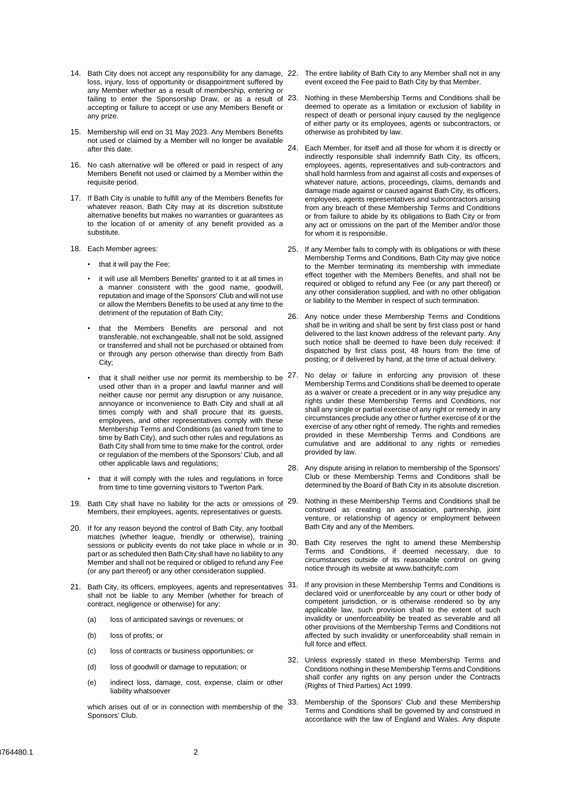- 14. Bath City does not accept any responsibility for any damage, 22. The entire liability of Bath City to any Member shall not in any loss, injury, loss of opportunity or disappointment suffered by any Member whether as a result of membership, entering or failing to enter the Sponsorship Draw, or as a result of 23. accepting or failure to accept or use any Members Benefit or any prize.
- 15. Membership will end on 31 May 2023. Any Members Benefits not used or claimed by a Member will no longer be available after this date.
- 16. No cash alternative will be offered or paid in respect of any Members Benefit not used or claimed by a Member within the requisite period.
- 17. If Bath City is unable to fulfill any of the Members Benefits for whatever reason, Bath City may at its discretion substitute alternative benefits but makes no warranties or guarantees as to the location of or amenity of any benefit provided as a substitute.
- 18. Each Member agrees:
	- that it will pay the Fee;
	- it will use all Members Benefits' granted to it at all times in a manner consistent with the good name, goodwill, reputation and image of the Sponsors' Club and will not use or allow the Members Benefits to be used at any time to the detriment of the reputation of Bath City;
	- that the Members Benefits are personal and not transferable, not exchangeable, shall not be sold, assigned or transferred and shall not be purchased or obtained from or through any person otherwise than directly from Bath City:
	- that it shall neither use nor permit its membership to be  $27$ . used other than in a proper and lawful manner and will neither cause nor permit any disruption or any nuisance, annoyance or inconvenience to Bath City and shall at all times comply with and shall procure that its guests, employees, and other representatives comply with these Membership Terms and Conditions (as varied from time to time by Bath City), and such other rules and regulations as Bath City shall from time to time make for the control, order or regulation of the members of the Sponsors' Club, and all other applicable laws and regulations;
	- that it will comply with the rules and regulations in force from time to time governing visitors to Twerton Park.
- 19. Bath City shall have no liability for the acts or omissions of 29. Members, their employees, agents, representatives or guests.
- 20. If for any reason beyond the control of Bath City, any football matches (whether league, friendly or otherwise), training sessions or publicity events do not take place in whole or in 30. part or as scheduled then Bath City shall have no liability to any Member and shall not be required or obliged to refund any Fee (or any part thereof) or any other consideration supplied.
- 21. Bath City, its officers, employees, agents and representatives 31. shall not be liable to any Member (whether for breach of contract, negligence or otherwise) for any:
	- (a) loss of anticipated savings or revenues; or
	- (b) loss of profits; or
	- (c) loss of contracts or business opportunities; or
	- (d) loss of goodwill or damage to reputation; or
	- (e) indirect loss, damage, cost, expense, claim or other liability whatsoever

which arises out of or in connection with membership of the Sponsors' Club.

- event exceed the Fee paid to Bath City by that Member.
- Nothing in these Membership Terms and Conditions shall be deemed to operate as a limitation or exclusion of liability in respect of death or personal injury caused by the negligence of either party or its employees, agents or subcontractors, or otherwise as prohibited by law.
- 24. Each Member, for itself and all those for whom it is directly or indirectly responsible shall indemnify Bath City, its officers, employees, agents, representatives and sub-contractors and shall hold harmless from and against all costs and expenses of whatever nature, actions, proceedings, claims, demands and damage made against or caused against Bath City, its officers, employees, agents representatives and subcontractors arising from any breach of these Membership Terms and Conditions or from failure to abide by its obligations to Bath City or from any act or omissions on the part of the Member and/or those for whom it is responsible.
- 25. If any Member fails to comply with its obligations or with these Membership Terms and Conditions, Bath City may give notice to the Member terminating its membership with immediate effect together with the Members Benefits, and shall not be required or obliged to refund any Fee (or any part thereof) or any other consideration supplied, and with no other obligation or liability to the Member in respect of such termination.
- 26. Any notice under these Membership Terms and Conditions shall be in writing and shall be sent by first class post or hand delivered to the last known address of the relevant party. Any such notice shall be deemed to have been duly received: if dispatched by first class post, 48 hours from the time of posting; or if delivered by hand, at the time of actual delivery.
- No delay or failure in enforcing any provision of these Membership Terms and Conditions shall be deemed to operate as a waiver or create a precedent or in any way prejudice any rights under these Membership Terms and Conditions, nor shall any single or partial exercise of any right or remedy in any circumstances preclude any other or further exercise of it or the exercise of any other right of remedy. The rights and remedies provided in these Membership Terms and Conditions are cumulative and are additional to any rights or remedies provided by law.
- 28. Any dispute arising in relation to membership of the Sponsors' Club or these Membership Terms and Conditions shall be determined by the Board of Bath City in its absolute discretion.
- Nothing in these Membership Terms and Conditions shall be construed as creating an association, partnership, joint venture, or relationship of agency or employment between Bath City and any of the Members.
- Bath City reserves the right to amend these Membership Terms and Conditions, if deemed necessary, due to circumstances outside of its reasonable control on giving notice through its website at www.bathcityfc.com
- If any provision in these Membership Terms and Conditions is declared void or unenforceable by any court or other body of competent jurisdiction, or is otherwise rendered so by any applicable law, such provision shall to the extent of such invalidity or unenforceability be treated as severable and all other provisions of the Membership Terms and Conditions not affected by such invalidity or unenforceability shall remain in full force and effect.
- 32. Unless expressly stated in these Membership Terms and Conditions nothing in these Membership Terms and Conditions shall confer any rights on any person under the Contracts (Rights of Third Parties) Act 1999.
- 33. Membership of the Sponsors' Club and these Membership Terms and Conditions shall be governed by and construed in accordance with the law of England and Wales. Any dispute